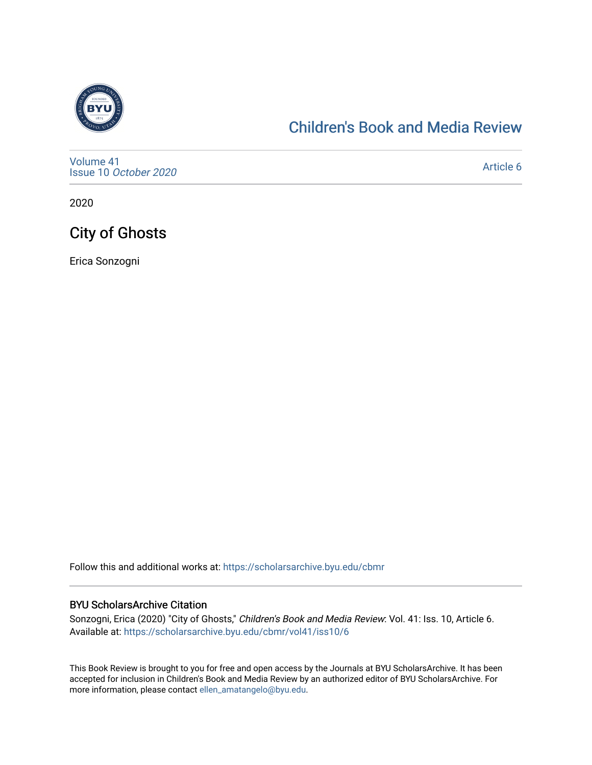

### [Children's Book and Media Review](https://scholarsarchive.byu.edu/cbmr)

[Volume 41](https://scholarsarchive.byu.edu/cbmr/vol41) Issue 10 [October 2020](https://scholarsarchive.byu.edu/cbmr/vol41/iss10)

[Article 6](https://scholarsarchive.byu.edu/cbmr/vol41/iss10/6) 

2020

# City of Ghosts

Erica Sonzogni

Follow this and additional works at: [https://scholarsarchive.byu.edu/cbmr](https://scholarsarchive.byu.edu/cbmr?utm_source=scholarsarchive.byu.edu%2Fcbmr%2Fvol41%2Fiss10%2F6&utm_medium=PDF&utm_campaign=PDFCoverPages) 

#### BYU ScholarsArchive Citation

Sonzogni, Erica (2020) "City of Ghosts," Children's Book and Media Review: Vol. 41: Iss. 10, Article 6. Available at: [https://scholarsarchive.byu.edu/cbmr/vol41/iss10/6](https://scholarsarchive.byu.edu/cbmr/vol41/iss10/6?utm_source=scholarsarchive.byu.edu%2Fcbmr%2Fvol41%2Fiss10%2F6&utm_medium=PDF&utm_campaign=PDFCoverPages)

This Book Review is brought to you for free and open access by the Journals at BYU ScholarsArchive. It has been accepted for inclusion in Children's Book and Media Review by an authorized editor of BYU ScholarsArchive. For more information, please contact [ellen\\_amatangelo@byu.edu.](mailto:ellen_amatangelo@byu.edu)